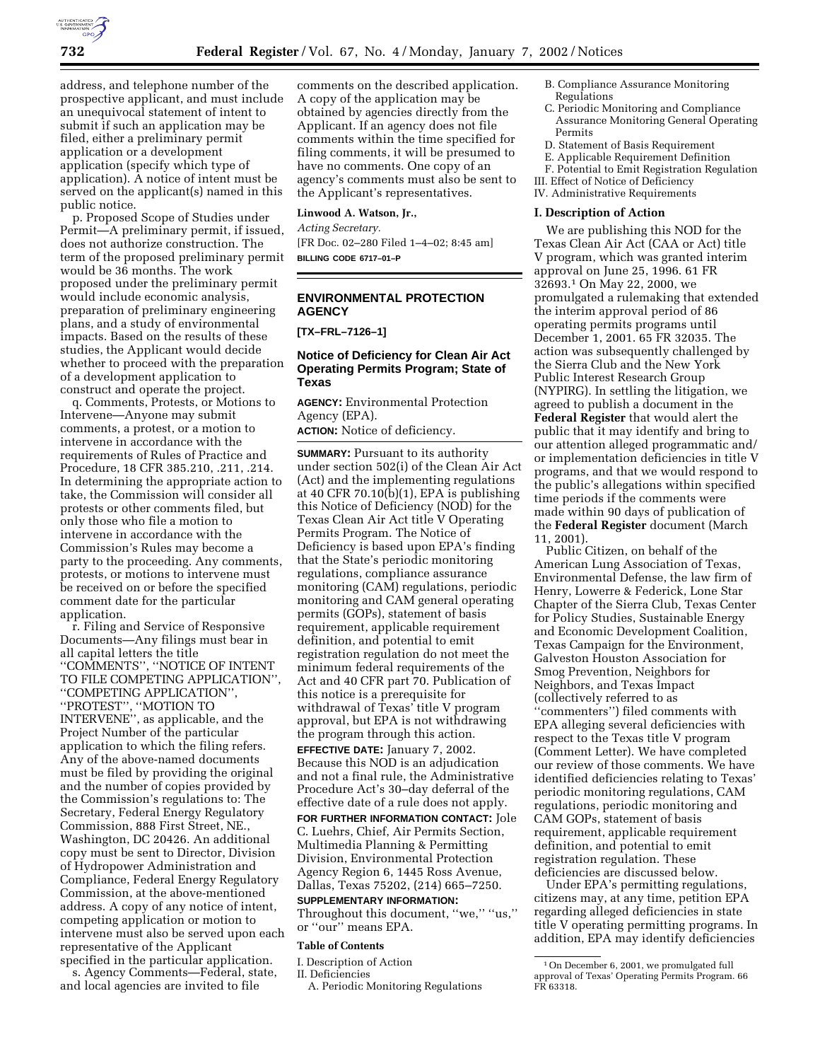

address, and telephone number of the prospective applicant, and must include an unequivocal statement of intent to submit if such an application may be filed, either a preliminary permit application or a development application (specify which type of application). A notice of intent must be served on the applicant(s) named in this public notice.

p. Proposed Scope of Studies under Permit—A preliminary permit, if issued, does not authorize construction. The term of the proposed preliminary permit would be 36 months. The work proposed under the preliminary permit would include economic analysis, preparation of preliminary engineering plans, and a study of environmental impacts. Based on the results of these studies, the Applicant would decide whether to proceed with the preparation of a development application to construct and operate the project.

q. Comments, Protests, or Motions to Intervene—Anyone may submit comments, a protest, or a motion to intervene in accordance with the requirements of Rules of Practice and Procedure, 18 CFR 385.210, .211, .214. In determining the appropriate action to take, the Commission will consider all protests or other comments filed, but only those who file a motion to intervene in accordance with the Commission's Rules may become a party to the proceeding. Any comments, protests, or motions to intervene must be received on or before the specified comment date for the particular application.

r. Filing and Service of Responsive Documents—Any filings must bear in all capital letters the title ''COMMENTS'', ''NOTICE OF INTENT TO FILE COMPETING APPLICATION'', ''COMPETING APPLICATION'', ''PROTEST'', ''MOTION TO INTERVENE'', as applicable, and the Project Number of the particular application to which the filing refers. Any of the above-named documents must be filed by providing the original and the number of copies provided by the Commission's regulations to: The Secretary, Federal Energy Regulatory Commission, 888 First Street, NE., Washington, DC 20426. An additional copy must be sent to Director, Division of Hydropower Administration and Compliance, Federal Energy Regulatory Commission, at the above-mentioned address. A copy of any notice of intent, competing application or motion to intervene must also be served upon each representative of the Applicant specified in the particular application.

s. Agency Comments—Federal, state, and local agencies are invited to file

comments on the described application. A copy of the application may be obtained by agencies directly from the Applicant. If an agency does not file comments within the time specified for filing comments, it will be presumed to have no comments. One copy of an agency's comments must also be sent to the Applicant's representatives.

#### **Linwood A. Watson, Jr.,**

*Acting Secretary.* [FR Doc. 02–280 Filed 1–4–02; 8:45 am] **BILLING CODE 6717–01–P**

# **ENVIRONMENTAL PROTECTION AGENCY**

**[TX–FRL–7126–1]**

# **Notice of Deficiency for Clean Air Act Operating Permits Program; State of Texas**

**AGENCY:** Environmental Protection Agency (EPA).

**ACTION:** Notice of deficiency.

**SUMMARY:** Pursuant to its authority under section 502(i) of the Clean Air Act (Act) and the implementing regulations at 40 CFR 70.10(b)(1), EPA is publishing this Notice of Deficiency (NOD) for the Texas Clean Air Act title V Operating Permits Program. The Notice of Deficiency is based upon EPA's finding that the State's periodic monitoring regulations, compliance assurance monitoring (CAM) regulations, periodic monitoring and CAM general operating permits (GOPs), statement of basis requirement, applicable requirement definition, and potential to emit registration regulation do not meet the minimum federal requirements of the Act and 40 CFR part 70. Publication of this notice is a prerequisite for withdrawal of Texas' title V program approval, but EPA is not withdrawing the program through this action. **EFFECTIVE DATE:** January 7, 2002. Because this NOD is an adjudication and not a final rule, the Administrative Procedure Act's 30–day deferral of the effective date of a rule does not apply. **FOR FURTHER INFORMATION CONTACT:** Jole C. Luehrs, Chief, Air Permits Section,

Multimedia Planning & Permitting Division, Environmental Protection Agency Region 6, 1445 Ross Avenue, Dallas, Texas 75202, (214) 665–7250.

#### **SUPPLEMENTARY INFORMATION:**

Throughout this document, "we," "us," or ''our'' means EPA.

# **Table of Contents**

I. Description of Action

II. Deficiencies

A. Periodic Monitoring Regulations

- B. Compliance Assurance Monitoring Regulations
- C. Periodic Monitoring and Compliance Assurance Monitoring General Operating Permits
- D. Statement of Basis Requirement
- E. Applicable Requirement Definition
- F. Potential to Emit Registration Regulation
- III. Effect of Notice of Deficiency
- IV. Administrative Requirements

# **I. Description of Action**

We are publishing this NOD for the Texas Clean Air Act (CAA or Act) title V program, which was granted interim approval on June 25, 1996. 61 FR 32693.1 On May 22, 2000, we promulgated a rulemaking that extended the interim approval period of 86 operating permits programs until December 1, 2001. 65 FR 32035. The action was subsequently challenged by the Sierra Club and the New York Public Interest Research Group (NYPIRG). In settling the litigation, we agreed to publish a document in the **Federal Register** that would alert the public that it may identify and bring to our attention alleged programmatic and/ or implementation deficiencies in title V programs, and that we would respond to the public's allegations within specified time periods if the comments were made within 90 days of publication of the **Federal Register** document (March 11, 2001).

Public Citizen, on behalf of the American Lung Association of Texas, Environmental Defense, the law firm of Henry, Lowerre & Federick, Lone Star Chapter of the Sierra Club, Texas Center for Policy Studies, Sustainable Energy and Economic Development Coalition, Texas Campaign for the Environment, Galveston Houston Association for Smog Prevention, Neighbors for Neighbors, and Texas Impact (collectively referred to as ''commenters'') filed comments with EPA alleging several deficiencies with respect to the Texas title V program (Comment Letter). We have completed our review of those comments. We have identified deficiencies relating to Texas' periodic monitoring regulations, CAM regulations, periodic monitoring and CAM GOPs, statement of basis requirement, applicable requirement definition, and potential to emit registration regulation. These deficiencies are discussed below.

Under EPA's permitting regulations, citizens may, at any time, petition EPA regarding alleged deficiencies in state title V operating permitting programs. In addition, EPA may identify deficiencies

<sup>1</sup>On December 6, 2001, we promulgated full approval of Texas' Operating Permits Program. 66 FR 63318.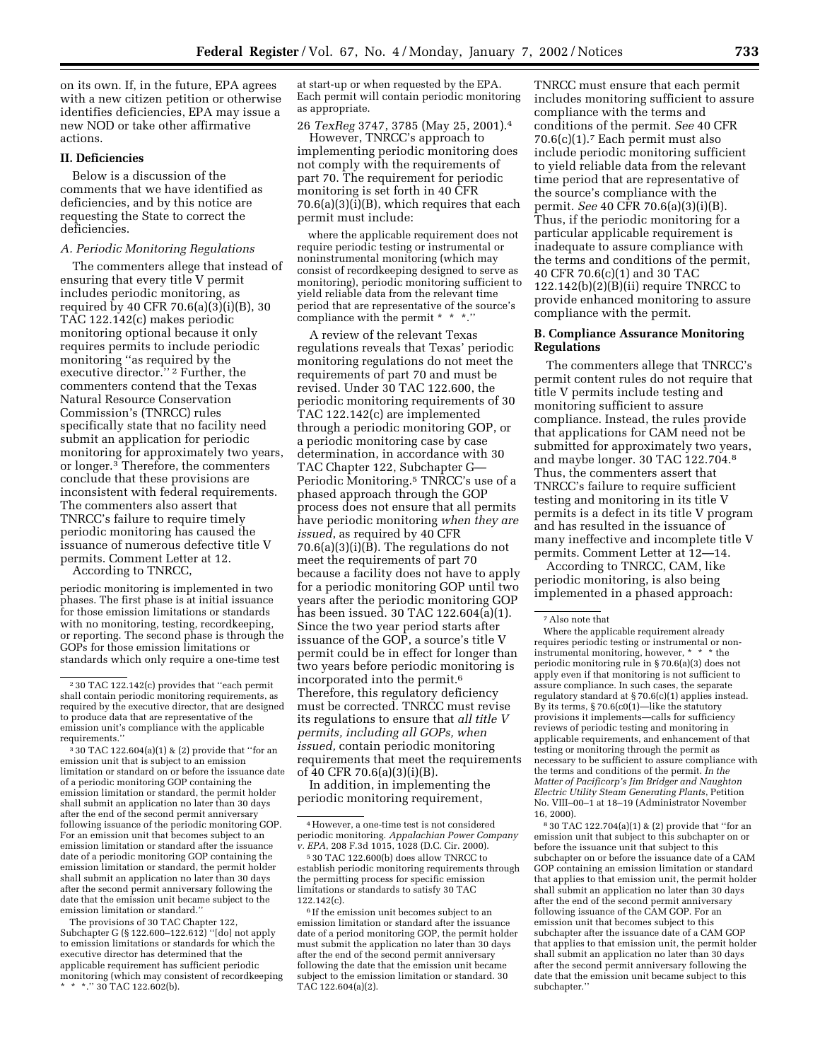on its own. If, in the future, EPA agrees with a new citizen petition or otherwise identifies deficiencies, EPA may issue a new NOD or take other affirmative actions.

#### **II. Deficiencies**

Below is a discussion of the comments that we have identified as deficiencies, and by this notice are requesting the State to correct the deficiencies.

### *A. Periodic Monitoring Regulations*

The commenters allege that instead of ensuring that every title V permit includes periodic monitoring, as required by 40 CFR 70.6(a)(3)(i)(B), 30 TAC 122.142(c) makes periodic monitoring optional because it only requires permits to include periodic monitoring ''as required by the executive director.'' 2 Further, the commenters contend that the Texas Natural Resource Conservation Commission's (TNRCC) rules specifically state that no facility need submit an application for periodic monitoring for approximately two years, or longer.3 Therefore, the commenters conclude that these provisions are inconsistent with federal requirements. The commenters also assert that TNRCC's failure to require timely periodic monitoring has caused the issuance of numerous defective title V permits. Comment Letter at 12.

According to TNRCC,

periodic monitoring is implemented in two phases. The first phase is at initial issuance for those emission limitations or standards with no monitoring, testing, recordkeeping, or reporting. The second phase is through the GOPs for those emission limitations or standards which only require a one-time test

 $330$  TAC 122.604(a)(1) & (2) provide that "for an emission unit that is subject to an emission limitation or standard on or before the issuance date of a periodic monitoring GOP containing the emission limitation or standard, the permit holder shall submit an application no later than 30 days after the end of the second permit anniversary following issuance of the periodic monitoring GOP. For an emission unit that becomes subject to an emission limitation or standard after the issuance date of a periodic monitoring GOP containing the emission limitation or standard, the permit holder shall submit an application no later than 30 days after the second permit anniversary following the date that the emission unit became subject to the emission limitation or standard.''

The provisions of 30 TAC Chapter 122, Subchapter G (§ 122.600–122.612) ''[do] not apply to emission limitations or standards for which the executive director has determined that the applicable requirement has sufficient periodic monitoring (which may consistent of recordkeeping \* \*.'' 30 TAC 122.602(b).

at start-up or when requested by the EPA. Each permit will contain periodic monitoring as appropriate.

26 *TexReg* 3747, 3785 (May 25, 2001).4

However, TNRCC's approach to implementing periodic monitoring does not comply with the requirements of part 70. The requirement for periodic monitoring is set forth in 40 CFR 70.6(a)(3)(i)(B), which requires that each permit must include:

where the applicable requirement does not require periodic testing or instrumental or noninstrumental monitoring (which may consist of recordkeeping designed to serve as monitoring), periodic monitoring sufficient to yield reliable data from the relevant time period that are representative of the source's compliance with the permit \* \* \*.

A review of the relevant Texas regulations reveals that Texas' periodic monitoring regulations do not meet the requirements of part 70 and must be revised. Under 30 TAC 122.600, the periodic monitoring requirements of 30 TAC 122.142(c) are implemented through a periodic monitoring GOP, or a periodic monitoring case by case determination, in accordance with 30 TAC Chapter 122, Subchapter G— Periodic Monitoring.5 TNRCC's use of a phased approach through the GOP process does not ensure that all permits have periodic monitoring *when they are issued*, as required by 40 CFR 70.6(a)(3)(i)(B). The regulations do not meet the requirements of part 70 because a facility does not have to apply for a periodic monitoring GOP until two years after the periodic monitoring GOP has been issued. 30 TAC 122.604(a)(1). Since the two year period starts after issuance of the GOP, a source's title V permit could be in effect for longer than two years before periodic monitoring is incorporated into the permit.6 Therefore, this regulatory deficiency must be corrected. TNRCC must revise its regulations to ensure that *all title V permits, including all GOPs, when issued,* contain periodic monitoring requirements that meet the requirements of 40 CFR 70.6(a)(3)(i)(B).

In addition, in implementing the periodic monitoring requirement,

TNRCC must ensure that each permit includes monitoring sufficient to assure compliance with the terms and conditions of the permit. *See* 40 CFR 70.6(c)(1).7 Each permit must also include periodic monitoring sufficient to yield reliable data from the relevant time period that are representative of the source's compliance with the permit. *See* 40 CFR 70.6(a)(3)(i)(B). Thus, if the periodic monitoring for a particular applicable requirement is inadequate to assure compliance with the terms and conditions of the permit, 40 CFR 70.6(c)(1) and 30 TAC  $122.142(b)(2)(B)(ii)$  require TNRCC to provide enhanced monitoring to assure compliance with the permit.

#### **B. Compliance Assurance Monitoring Regulations**

The commenters allege that TNRCC's permit content rules do not require that title V permits include testing and monitoring sufficient to assure compliance. Instead, the rules provide that applications for CAM need not be submitted for approximately two years, and maybe longer. 30 TAC 122.704.8 Thus, the commenters assert that TNRCC's failure to require sufficient testing and monitoring in its title V permits is a defect in its title V program and has resulted in the issuance of many ineffective and incomplete title V permits. Comment Letter at 12—14.

According to TNRCC, CAM, like periodic monitoring, is also being implemented in a phased approach:

Where the applicable requirement already requires periodic testing or instrumental or noninstrumental monitoring, however, \* \* \* the periodic monitoring rule in § 70.6(a)(3) does not apply even if that monitoring is not sufficient to assure compliance. In such cases, the separate regulatory standard at § 70.6(c)(1) applies instead. By its terms, § 70.6(c0(1)—like the statutory provisions it implements—calls for sufficiency reviews of periodic testing and monitoring in applicable requirements, and enhancement of that testing or monitoring through the permit as necessary to be sufficient to assure compliance with the terms and conditions of the permit. *In the Matter of Pacificorp's Jim Bridger and Naughton Electric Utility Steam Generating Plants*, Petition No. VIII–00–1 at 18–19 (Administrator November 16, 2000).

8 30 TAC 122.704(a)(1) & (2) provide that ''for an emission unit that subject to this subchapter on or before the issuance unit that subject to this subchapter on or before the issuance date of a CAM GOP containing an emission limitation or standard that applies to that emission unit, the permit holder shall submit an application no later than 30 days after the end of the second permit anniversary following issuance of the CAM GOP. For an emission unit that becomes subject to this subchapter after the issuance date of a CAM GOP that applies to that emission unit, the permit holder shall submit an application no later than 30 days after the second permit anniversary following the date that the emission unit became subject to this subchapter.''

<sup>2</sup> 30 TAC 122.142(c) provides that ''each permit shall contain periodic monitoring requirements, as required by the executive director, that are designed to produce data that are representative of the emission unit's compliance with the applicable requirements.''

<sup>4</sup>However, a one-time test is not considered periodic monitoring. *Appalachian Power Company v. EPA*, 208 F.3d 1015, 1028 (D.C. Cir. 2000).

<sup>5</sup> 30 TAC 122.600(b) does allow TNRCC to establish periodic monitoring requirements through the permitting process for specific emission limitations or standards to satisfy 30 TAC 122.142(c).

<sup>6</sup> If the emission unit becomes subject to an emission limitation or standard after the issuance date of a period monitoring GOP, the permit holder must submit the application no later than 30 days after the end of the second permit anniversary following the date that the emission unit became subject to the emission limitation or standard. 30 TAC 122.604(a)(2).

<sup>7</sup>Also note that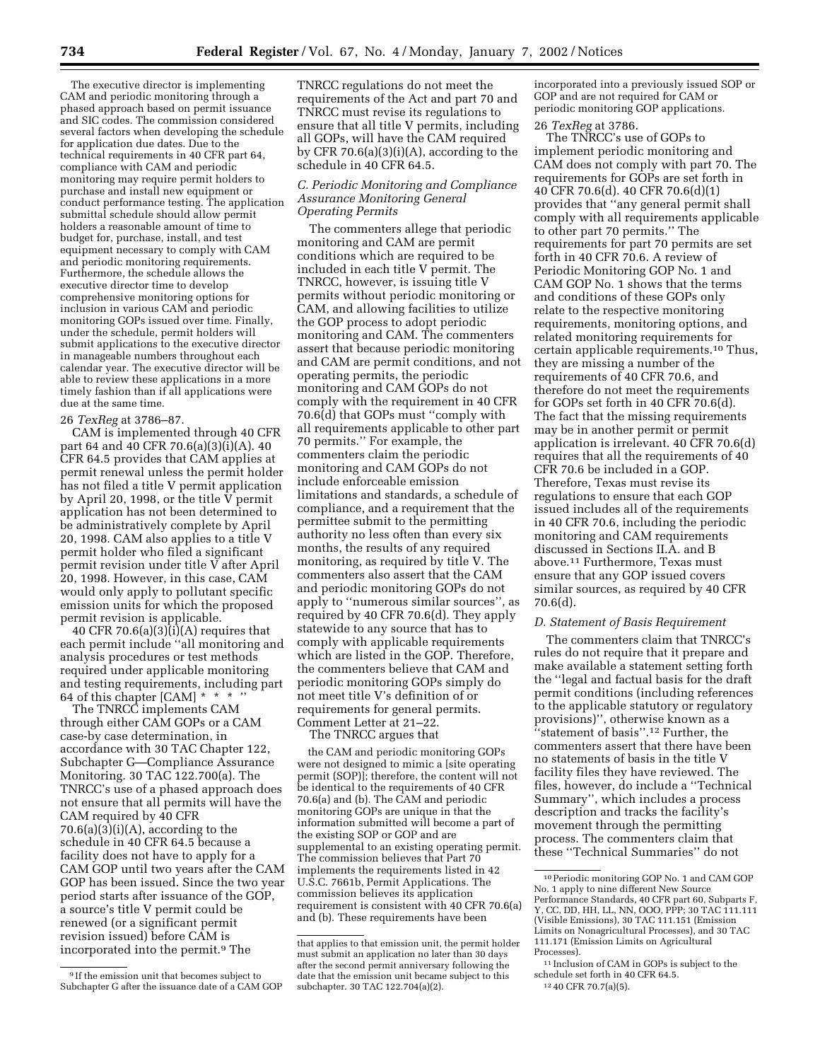The executive director is implementing CAM and periodic monitoring through a phased approach based on permit issuance and SIC codes. The commission considered several factors when developing the schedule for application due dates. Due to the technical requirements in 40 CFR part 64, compliance with CAM and periodic monitoring may require permit holders to purchase and install new equipment or conduct performance testing. The application submittal schedule should allow permit holders a reasonable amount of time to budget for, purchase, install, and test equipment necessary to comply with CAM and periodic monitoring requirements. Furthermore, the schedule allows the executive director time to develop comprehensive monitoring options for inclusion in various CAM and periodic monitoring GOPs issued over time. Finally, under the schedule, permit holders will submit applications to the executive director in manageable numbers throughout each calendar year. The executive director will be able to review these applications in a more timely fashion than if all applications were due at the same time.

## 26 *TexReg* at 3786–87.

CAM is implemented through 40 CFR part 64 and 40 CFR 70.6(a)(3)(i)(A). 40 CFR 64.5 provides that CAM applies at permit renewal unless the permit holder has not filed a title V permit application by April 20, 1998, or the title V permit application has not been determined to be administratively complete by April 20, 1998. CAM also applies to a title V permit holder who filed a significant permit revision under title V after April 20, 1998. However, in this case, CAM would only apply to pollutant specific emission units for which the proposed permit revision is applicable.

40 CFR 70.6(a) $(3)(i)(A)$  requires that each permit include ''all monitoring and analysis procedures or test methods required under applicable monitoring and testing requirements, including part 64 of this chapter [CAM]  $* * * "$ 

The TNRCC implements CAM through either CAM GOPs or a CAM case-by case determination, in accordance with 30 TAC Chapter 122, Subchapter G—Compliance Assurance Monitoring. 30 TAC 122.700(a). The TNRCC's use of a phased approach does not ensure that all permits will have the CAM required by 40 CFR  $70.6(a)(3)(i)(A)$ , according to the schedule in 40 CFR 64.5 because a facility does not have to apply for a CAM GOP until two years after the CAM GOP has been issued. Since the two year period starts after issuance of the GOP, a source's title V permit could be renewed (or a significant permit revision issued) before CAM is incorporated into the permit.<sup>9</sup> The

TNRCC regulations do not meet the requirements of the Act and part 70 and TNRCC must revise its regulations to ensure that all title V permits, including all GOPs, will have the CAM required by CFR 70.6(a)(3)(i)(A), according to the schedule in 40 CFR 64.5.

# *C. Periodic Monitoring and Compliance Assurance Monitoring General Operating Permits*

The commenters allege that periodic monitoring and CAM are permit conditions which are required to be included in each title V permit. The TNRCC, however, is issuing title V permits without periodic monitoring or CAM, and allowing facilities to utilize the GOP process to adopt periodic monitoring and CAM. The commenters assert that because periodic monitoring and CAM are permit conditions, and not operating permits, the periodic monitoring and CAM GOPs do not comply with the requirement in 40 CFR 70.6(d) that GOPs must ''comply with all requirements applicable to other part 70 permits.'' For example, the commenters claim the periodic monitoring and CAM GOPs do not include enforceable emission limitations and standards, a schedule of compliance, and a requirement that the permittee submit to the permitting authority no less often than every six months, the results of any required monitoring, as required by title V. The commenters also assert that the CAM and periodic monitoring GOPs do not apply to ''numerous similar sources'', as required by 40 CFR 70.6(d). They apply statewide to any source that has to comply with applicable requirements which are listed in the GOP. Therefore, the commenters believe that CAM and periodic monitoring GOPs simply do not meet title V's definition of or requirements for general permits. Comment Letter at 21–22.

The TNRCC argues that

the CAM and periodic monitoring GOPs were not designed to mimic a [site operating permit (SOP)]; therefore, the content will not be identical to the requirements of 40 CFR 70.6(a) and (b). The CAM and periodic monitoring GOPs are unique in that the information submitted will become a part of the existing SOP or GOP and are supplemental to an existing operating permit. The commission believes that Part 70 implements the requirements listed in 42 U.S.C. 7661b, Permit Applications. The commission believes its application requirement is consistent with 40 CFR 70.6(a) and (b). These requirements have been

incorporated into a previously issued SOP or GOP and are not required for CAM or periodic monitoring GOP applications.

## 26 *TexReg* at 3786.

The TNRCC's use of GOPs to implement periodic monitoring and CAM does not comply with part 70. The requirements for GOPs are set forth in 40 CFR 70.6(d). 40 CFR 70.6(d)(1) provides that ''any general permit shall comply with all requirements applicable to other part 70 permits.'' The requirements for part 70 permits are set forth in 40 CFR 70.6. A review of Periodic Monitoring GOP No. 1 and CAM GOP No. 1 shows that the terms and conditions of these GOPs only relate to the respective monitoring requirements, monitoring options, and related monitoring requirements for certain applicable requirements.10 Thus, they are missing a number of the requirements of 40 CFR 70.6, and therefore do not meet the requirements for GOPs set forth in 40 CFR 70.6(d). The fact that the missing requirements may be in another permit or permit application is irrelevant. 40 CFR 70.6(d) requires that all the requirements of 40 CFR 70.6 be included in a GOP. Therefore, Texas must revise its regulations to ensure that each GOP issued includes all of the requirements in 40 CFR 70.6, including the periodic monitoring and CAM requirements discussed in Sections II.A. and B above.11 Furthermore, Texas must ensure that any GOP issued covers similar sources, as required by 40 CFR 70.6(d).

## *D. Statement of Basis Requirement*

The commenters claim that TNRCC's rules do not require that it prepare and make available a statement setting forth the ''legal and factual basis for the draft permit conditions (including references to the applicable statutory or regulatory provisions)'', otherwise known as a ''statement of basis''.12 Further, the commenters assert that there have been no statements of basis in the title V facility files they have reviewed. The files, however, do include a ''Technical Summary'', which includes a process description and tracks the facility's movement through the permitting process. The commenters claim that these ''Technical Summaries'' do not

<sup>9</sup> If the emission unit that becomes subject to Subchapter G after the issuance date of a CAM GOP

that applies to that emission unit, the permit holder must submit an application no later than 30 days after the second permit anniversary following the date that the emission unit became subject to this subchapter. 30 TAC 122.704(a)(2).

<sup>10</sup>Periodic monitoring GOP No. 1 and CAM GOP No. 1 apply to nine different New Source Performance Standards, 40 CFR part 60, Subparts F, Y, CC, DD, HH, LL, NN, OOO, PPP; 30 TAC 111.111 (Visible Emissions), 30 TAC 111.151 (Emission Limits on Nonagricultural Processes), and 30 TAC 111.171 (Emission Limits on Agricultural Processes).

<sup>11</sup> Inclusion of CAM in GOPs is subject to the schedule set forth in 40 CFR 64.5.

<sup>12</sup> 40 CFR 70.7(a)(5).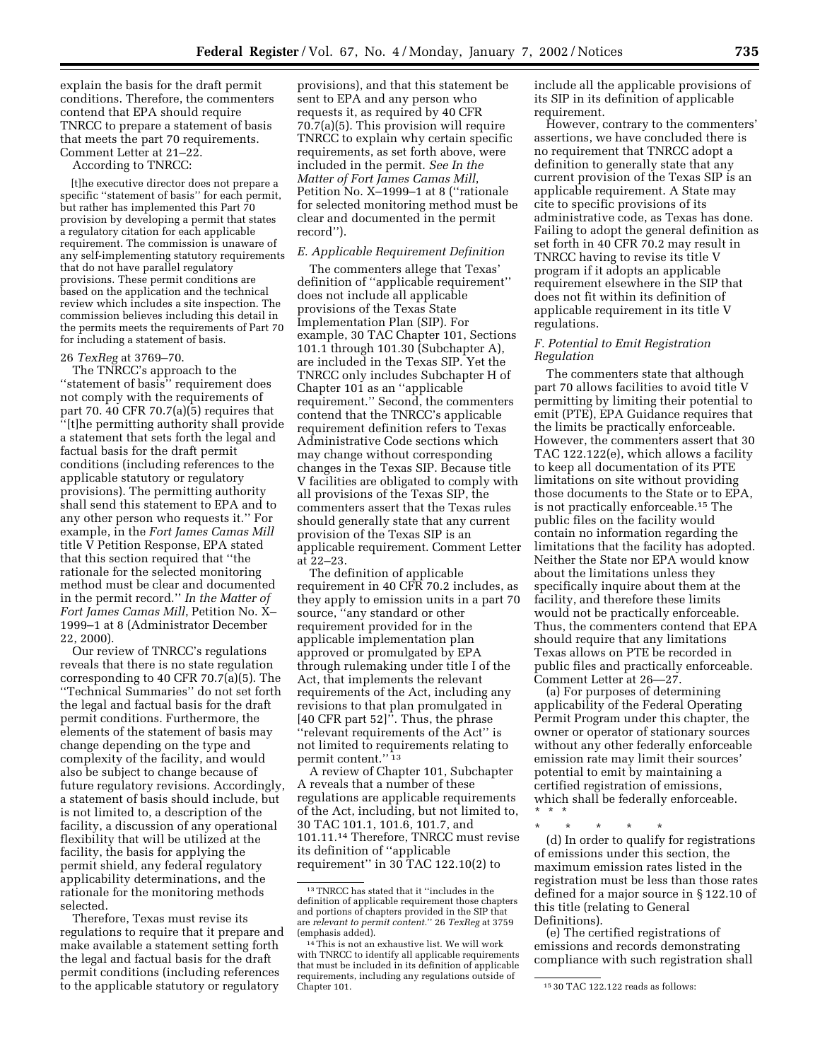explain the basis for the draft permit conditions. Therefore, the commenters contend that EPA should require TNRCC to prepare a statement of basis that meets the part 70 requirements. Comment Letter at 21–22.

According to TNRCC:

[t]he executive director does not prepare a specific ''statement of basis'' for each permit, but rather has implemented this Part 70 provision by developing a permit that states a regulatory citation for each applicable requirement. The commission is unaware of any self-implementing statutory requirements that do not have parallel regulatory provisions. These permit conditions are based on the application and the technical review which includes a site inspection. The commission believes including this detail in the permits meets the requirements of Part 70 for including a statement of basis.

## 26 *TexReg* at 3769–70.

The TNRCC's approach to the ''statement of basis'' requirement does not comply with the requirements of part 70. 40 CFR 70.7(a)(5) requires that ''[t]he permitting authority shall provide a statement that sets forth the legal and factual basis for the draft permit conditions (including references to the applicable statutory or regulatory provisions). The permitting authority shall send this statement to EPA and to any other person who requests it.'' For example, in the *Fort James Camas Mill* title V Petition Response, EPA stated that this section required that ''the rationale for the selected monitoring method must be clear and documented in the permit record.'' *In the Matter of Fort James Camas Mill*, Petition No. X– 1999–1 at 8 (Administrator December 22, 2000).

Our review of TNRCC's regulations reveals that there is no state regulation corresponding to 40 CFR 70.7(a)(5). The ''Technical Summaries'' do not set forth the legal and factual basis for the draft permit conditions. Furthermore, the elements of the statement of basis may change depending on the type and complexity of the facility, and would also be subject to change because of future regulatory revisions. Accordingly, a statement of basis should include, but is not limited to, a description of the facility, a discussion of any operational flexibility that will be utilized at the facility, the basis for applying the permit shield, any federal regulatory applicability determinations, and the rationale for the monitoring methods selected.

Therefore, Texas must revise its regulations to require that it prepare and make available a statement setting forth the legal and factual basis for the draft permit conditions (including references to the applicable statutory or regulatory

provisions), and that this statement be sent to EPA and any person who requests it, as required by 40 CFR 70.7(a)(5). This provision will require TNRCC to explain why certain specific requirements, as set forth above, were included in the permit. *See In the Matter of Fort James Camas Mill*, Petition No. X–1999–1 at 8 (''rationale for selected monitoring method must be clear and documented in the permit record'').

# *E. Applicable Requirement Definition*

The commenters allege that Texas' definition of ''applicable requirement'' does not include all applicable provisions of the Texas State Implementation Plan (SIP). For example, 30 TAC Chapter 101, Sections 101.1 through 101.30 (Subchapter A), are included in the Texas SIP. Yet the TNRCC only includes Subchapter H of Chapter 101 as an ''applicable requirement.'' Second, the commenters contend that the TNRCC's applicable requirement definition refers to Texas Administrative Code sections which may change without corresponding changes in the Texas SIP. Because title V facilities are obligated to comply with all provisions of the Texas SIP, the commenters assert that the Texas rules should generally state that any current provision of the Texas SIP is an applicable requirement. Comment Letter at 22–23.

The definition of applicable requirement in 40 CFR 70.2 includes, as they apply to emission units in a part 70 source, ''any standard or other requirement provided for in the applicable implementation plan approved or promulgated by EPA through rulemaking under title I of the Act, that implements the relevant requirements of the Act, including any revisions to that plan promulgated in [40 CFR part 52]''. Thus, the phrase ''relevant requirements of the Act'' is not limited to requirements relating to permit content.'' 13

A review of Chapter 101, Subchapter A reveals that a number of these regulations are applicable requirements of the Act, including, but not limited to, 30 TAC 101.1, 101.6, 101.7, and 101.11.14 Therefore, TNRCC must revise its definition of ''applicable requirement'' in 30 TAC 122.10(2) to

include all the applicable provisions of its SIP in its definition of applicable requirement.

However, contrary to the commenters' assertions, we have concluded there is no requirement that TNRCC adopt a definition to generally state that any current provision of the Texas SIP is an applicable requirement. A State may cite to specific provisions of its administrative code, as Texas has done. Failing to adopt the general definition as set forth in 40 CFR 70.2 may result in TNRCC having to revise its title V program if it adopts an applicable requirement elsewhere in the SIP that does not fit within its definition of applicable requirement in its title V regulations.

# *F. Potential to Emit Registration Regulation*

The commenters state that although part 70 allows facilities to avoid title V permitting by limiting their potential to emit (PTE), EPA Guidance requires that the limits be practically enforceable. However, the commenters assert that 30 TAC 122.122(e), which allows a facility to keep all documentation of its PTE limitations on site without providing those documents to the State or to EPA, is not practically enforceable.15 The public files on the facility would contain no information regarding the limitations that the facility has adopted. Neither the State nor EPA would know about the limitations unless they specifically inquire about them at the facility, and therefore these limits would not be practically enforceable. Thus, the commenters contend that EPA should require that any limitations Texas allows on PTE be recorded in public files and practically enforceable. Comment Letter at 26—27.

(a) For purposes of determining applicability of the Federal Operating Permit Program under this chapter, the owner or operator of stationary sources without any other federally enforceable emission rate may limit their sources' potential to emit by maintaining a certified registration of emissions, which shall be federally enforceable. \*\*\*

\* \* \* \* \* (d) In order to qualify for registrations of emissions under this section, the maximum emission rates listed in the registration must be less than those rates defined for a major source in § 122.10 of this title (relating to General Definitions).

(e) The certified registrations of emissions and records demonstrating compliance with such registration shall

 $^{\rm 13}\,$  TNRCC has stated that it ''includes in the definition of applicable requirement those chapters and portions of chapters provided in the SIP that are *relevant to permit content.*'' 26 *TexReg* at 3759 (emphasis added).

<sup>14</sup>This is not an exhaustive list. We will work with TNRCC to identify all applicable requirements that must be included in its definition of applicable requirements, including any regulations outside of

 $1530$  TAC 122.122 reads as follows: